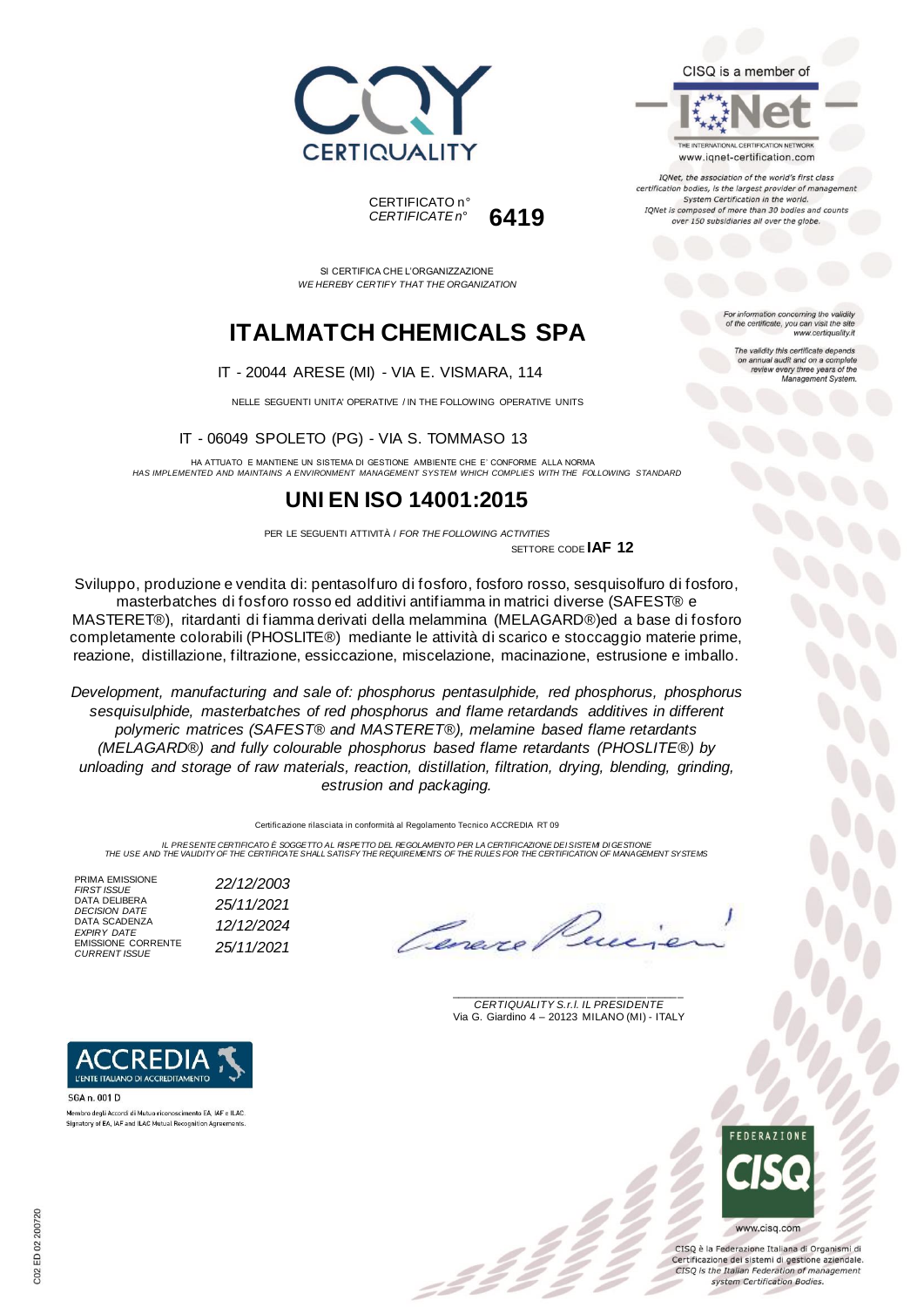



SI CERTIFICA CHE L'ORGANIZZAZIONE *WE HEREBY CERTIFY THAT THE ORGANIZATION*

# **ITALMATCH CHEMICALS SPA**

#### IT - 20044 ARESE (MI) - VIA E. VISMARA, 114

NELLE SEGUENTI UNITA' OPERATIVE / IN THE FOLLOWING OPERATIVE UNITS

IT - 06049 SPOLETO (PG) - VIA S. TOMMASO 13

HA ATTUATO E MANTIENE UN SISTEMA DI GESTIONE AMBIENTE CHE E' CONFORME ALLA NORMA *HAS IMPLEMENTED AND MAINTAINS A ENVIRONMENT MANAGEMENT SYSTEM WHICH COMPLIES WITH THE FOLLOWING STANDARD*

### **UNI EN ISO 14001:2015**

PER LE SEGUENTI ATTIVITÀ / *FOR THE FOLLOWING ACTIVITIES* SETTORE CODE **IAF 12**

Sviluppo, produzione e vendita di: pentasolfuro di fosforo, fosforo rosso, sesquisolfuro di fosforo, masterbatches di fosforo rosso ed additivi antifiamma in matrici diverse (SAFEST® e MASTERET®), ritardanti di fiamma derivati della melammina (MELAGARD®)ed a base di fosforo completamente colorabili (PHOSLITE®) mediante le attività di scarico e stoccaggio materie prime, reazione, distillazione, filtrazione, essiccazione, miscelazione, macinazione, estrusione e imballo.

*Development, manufacturing and sale of: phosphorus pentasulphide, red phosphorus, phosphorus sesquisulphide, masterbatches of red phosphorus and flame retardands additives in different polymeric matrices (SAFEST® and MASTERET®), melamine based flame retardants (MELAGARD®) and fully colourable phosphorus based flame retardants (PHOSLITE®) by unloading and storage of raw materials, reaction, distillation, filtration, drying, blending, grinding, estrusion and packaging.*

Certificazione rilasciata in conformità al Regolamento Tecnico ACCREDIA RT 09

IL PRESENTE CERTIFICATO E SOGGETTO AL RISPETTO DEL PEGOLAMENTO PER LA CERTIFICAZIONE DEI SISTEMI DI GESTIONE<br>THE USE AND THE VALIDITY OF THE CERTIFICATE SHALL SATISFY THE REQUIREMENTS OF THE RULES FOR THE CERTIFICATION OF

PRIMA EMISSIONE<br>FIRST ISSUE DATA DELIBERA<br>DECISION DATE DATA SCADENZA<br>EXPIRY DATE EMISSIONE CORRENTE *CURRENT ISSUE 25/11/2021*

*FIRST ISSUE 22/12/2003 DECISION DATE 25/11/2021 EXPIRY DATE 12/12/2024*

\_\_\_\_\_\_\_\_\_\_\_\_\_\_\_\_\_\_\_\_\_\_\_\_\_\_\_\_\_\_\_\_\_\_\_\_\_\_\_ *CERTIQUALITY S.r.l. IL PRESIDENTE* Via G. Giardino 4 – 20123 MILANO (MI) - ITALY



CISO è la Federazione Italiana di Organismi di Certificazione dei sistemi di gestione aziendale. CISQ is the Italian Federation of management system Certification Bodies.



THE INTERNATIONAL CERTIFICATION NETWORK

www.iqnet-certification.com IQNet, the association of the world's first class certification bodies, is the largest provider of manager System Certification in the world. IQNet is composed of more than 30 bodies and counts over 150 subsidiaries all over the globe.

> tion concerning the validity of the certificate, you can visit the sit

The validity this certificate depends on annual audit and on a complete<br>review every three years of the<br>Management System.

www.certiquality.it



SGA n. 001 D Membro degli Accordi di Mutuo riconoscimento EA, IAF e ILAC. Signatory of EA, IAF and ILAC Mutual Recognition Agreements